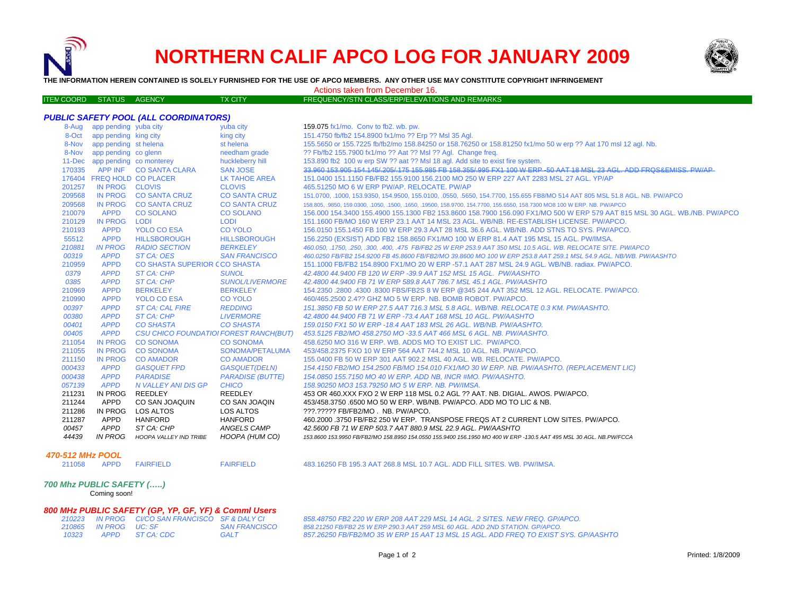



**THE INFORMATION HEREIN CONTAINED IS SOLELY FURNISHED FOR THE USE OF APCO MEMBERS. ANY OTHER USE MAY CONSTITUTE COPYRIGHT INFRINGEMENT**

Actions taken from December 16.

| ITEM COORD STATUS AGENCY |  | <b>TX CITY</b> | FREQUENCY/STN CLASS/ERP/ELEVATIONS AND REMARKS |
|--------------------------|--|----------------|------------------------------------------------|
|                          |  |                |                                                |

| <b>PUBLIC SAFETY POOL (ALL COORDINATORS)</b>                   |                             |                                |                                                                     |                                                                                                                             |  |  |  |  |
|----------------------------------------------------------------|-----------------------------|--------------------------------|---------------------------------------------------------------------|-----------------------------------------------------------------------------------------------------------------------------|--|--|--|--|
|                                                                | 8-Aug app pending yuba city |                                | yuba city                                                           | 159.075 fx1/mo. Conv to fb2. wb. pw.                                                                                        |  |  |  |  |
|                                                                | 8-Oct app pending king city |                                | king city                                                           | 151.4750 fb/fb2 154.8900 fx1/mo ?? Erp ?? Msl 35 Agl.                                                                       |  |  |  |  |
|                                                                | 8-Nov app pending st helena |                                | st helena                                                           | 155.5650 or 155.7225 fb/fb2/mo 158.84250 or 158.76250 or 158.81250 fx1/mo 50 w erp ?? Aat 170 msl 12 agl. Nb.               |  |  |  |  |
|                                                                | 8-Nov app pending co glenn  |                                | needham grade                                                       | ?? Fb/fb2 155.7900 fx1/mo ?? Aat ?? Msl ?? Agl. Change freq.                                                                |  |  |  |  |
|                                                                |                             | 11-Dec app pending co monterey | huckleberry hill                                                    | 153.890 fb2 100 w erp SW ?? aat ?? MsI 18 agl. Add site to exist fire system.                                               |  |  |  |  |
|                                                                |                             | 170335 APP INF CO SANTA CLARA  | <b>SAN JOSE</b>                                                     | 33.960 153.905 154.145/205/175 155.985 FB 158.355/995 FX1 100 W ERP -50 AAT 18 MSL 23 AGL. ADD FROS&EMISS, PW/AP            |  |  |  |  |
|                                                                |                             | 176404 FREQ HOLD CO PLACER     | LK TAHOE AREA                                                       | 151,0400 151,1150 FB/FB2 155,9100 156,2100 MO 250 W ERP 227 AAT 2283 MSL 27 AGL, YP/AP                                      |  |  |  |  |
| 201257                                                         | IN PROG CLOVIS              |                                | <b>CLOVIS</b>                                                       | 465.51250 MO 6 W ERP PW/AP, RELOCATE, PW/AP                                                                                 |  |  |  |  |
| 209568                                                         | <b>IN PROG</b>              | <b>CO SANTA CRUZ</b>           | <b>CO SANTA CRUZ</b>                                                | 151.0700, .1000, 153.9350, 154.9500, 155.0100, .0550, .5650, 154.7700, 155.655 FB8/MO 514 AAT 805 MSL 51.8 AGL. NB. PW/APCO |  |  |  |  |
| 209568                                                         | <b>IN PROG</b>              | <b>CO SANTA CRUZ</b>           | <b>CO SANTA CRUZ</b>                                                | 158.805, .9850, 159.0300, .1050, .1500, .1650, .19500, 158.9700, 154.7700, 155.6550, 158.7300 MO8 100 W ERP. NB. PW/APCO    |  |  |  |  |
| 210079                                                         | <b>APPD</b>                 | <b>CO SOLANO</b>               | <b>CO SOLANO</b>                                                    | 156,000 154,3400 155,4900 155,1300 FB2 153,8600 158,7900 156,090 FX1/MO 500 W ERP 579 AAT 815 MSL 30 AGL, WB./NB, PW/APCO   |  |  |  |  |
| 210129                                                         | IN PROG LODI                |                                | <b>LODI</b>                                                         | 151.1600 FB/MO 160 W ERP 23.1 AAT 14 MSL 23 AGL. WB/NB. RE-ESTABLISH LICENSE. PW/APCO.                                      |  |  |  |  |
| 210193                                                         | <b>APPD</b>                 | <b>YOLO CO ESA</b>             | <b>CO YOLO</b>                                                      | 156,0150 155,1450 FB 100 W ERP 29.3 AAT 28 MSL 36.6 AGL, WB/NB, ADD STNS TO SYS, PW/APCO,                                   |  |  |  |  |
| 55512                                                          | <b>APPD</b>                 | <b>HILLSBOROUGH</b>            | <b>HILLSBOROUGH</b>                                                 | 156.2250 (EXSIST) ADD FB2 158.8650 FX1/MO 100 W ERP 81.4 AAT 195 MSL 15 AGL. PW/IMSA.                                       |  |  |  |  |
| 210881                                                         | <b>IN PROG</b>              | <b>RADIO SECTION</b>           | <b>BERKELEY</b>                                                     | 460.050, .1750, .250, .300, .400, .475 FB/FB2 25 W ERP 253.9 AAT 350 MSL 10.5 AGL. WB. RELOCATE SITE. PW/APCO               |  |  |  |  |
| 00319                                                          | <b>APPD</b>                 | ST CA: OES                     | <b>SAN FRANCISCO</b>                                                | 460.0250 FB/FB2 154.9200 FB 45.8600 FB/FB2/MO 39.8600 MO 100 W ERP 253.8 AAT 259.1 MSL 54.9 AGL. NB/WB. PW/AASHTO           |  |  |  |  |
| 210959                                                         | <b>APPD</b>                 | CO SHASTA SUPERIOR CCO SHASTA  |                                                                     | 151.1000 FB/FB2 154.8900 FX1/MO 20 W ERP -57.1 AAT 287 MSL 24.9 AGL. WB/NB. radiax. PW/APCO.                                |  |  |  |  |
| 0379                                                           | <b>APPD</b>                 | <b>ST CA: CHP</b>              | <b>SUNOL</b>                                                        | 42.4800 44.9400 FB 120 W ERP -39.9 AAT 152 MSL 15 AGL. PW/AASHTO                                                            |  |  |  |  |
| 0385                                                           | <b>APPD</b>                 | ST CA: CHP                     | <b>SUNOL/LIVERMORE</b>                                              | 42.4800 44.9400 FB 71 W ERP 589.8 AAT 786.7 MSL 45.1 AGL, PW/AASHTO                                                         |  |  |  |  |
| 210969                                                         | <b>APPD</b>                 | <b>BERKELEY</b>                | <b>BERKELEY</b>                                                     | 154.2350 .2800 .4300 .8300 FBS/FB2S 8 W ERP @345 244 AAT 352 MSL 12 AGL. RELOCATE. PW/APCO.                                 |  |  |  |  |
| 210990                                                         | <b>APPD</b>                 | YOLO CO ESA                    | <b>CO YOLO</b>                                                      | 460/465.2500 2.4?? GHZ MO 5 W ERP, NB, BOMB ROBOT, PW/APCO,                                                                 |  |  |  |  |
| 00397                                                          | <b>APPD</b>                 | <b>ST CA: CAL FIRE</b>         | <b>REDDING</b>                                                      | 151.3850 FB 50 W ERP 27.5 AAT 716.3 MSL 5.8 AGL. WB/NB. RELOCATE 0.3 KM. PW/AASHTO.                                         |  |  |  |  |
| 00380                                                          | <b>APPD</b>                 | <b>ST CA: CHP</b>              | <b>LIVERMORE</b>                                                    | 42.4800 44.9400 FB 71 W ERP -73.4 AAT 168 MSL 10 AGL, PW/AASHTO                                                             |  |  |  |  |
| 00401                                                          | <b>APPD</b>                 | <b>CO SHASTA</b>               | <b>CO SHASTA</b>                                                    | 159.0150 FX1 50 W ERP - 18.4 AAT 183 MSL 26 AGL. WB/NB. PW/AASHTO.                                                          |  |  |  |  |
| 00405<br><b>APPD</b><br>CSU CHICO FOUNDATIOI FOREST RANCH(BUT) |                             |                                | 453.5125 FB2/MO 458.2750 MO -33.5 AAT 466 MSL 6 AGL. NB. PW/AASHTO. |                                                                                                                             |  |  |  |  |
| 211054                                                         | IN PROG                     | <b>CO SONOMA</b>               | <b>CO SONOMA</b>                                                    | 458,6250 MO 316 W ERP. WB. ADDS MO TO EXIST LIC. PW/APCO.                                                                   |  |  |  |  |
| 211055                                                         | <b>IN PROG</b>              | <b>CO SONOMA</b>               | SONOMA/PETALUMA                                                     | 453/458.2375 FXO 10 W ERP 564 AAT 744.2 MSL 10 AGL, NB, PW/APCO,                                                            |  |  |  |  |
| 211150                                                         | <b>IN PROG</b>              | <b>CO AMADOR</b>               | <b>CO AMADOR</b>                                                    | 155.0400 FB 50 W ERP 301 AAT 902.2 MSL 40 AGL. WB. RELOCATE. PW/APCO.                                                       |  |  |  |  |
| 000433                                                         | <b>APPD</b>                 | <b>GASQUET FPD</b>             | GASQUET(DELN)                                                       | 154.4150 FB2/MO 154.2500 FB/MO 154.010 FX1/MO 30 W ERP. NB. PW/AASHTO. (REPLACEMENT LIC)                                    |  |  |  |  |
| 000438                                                         | <b>APPD</b>                 | <b>PARADISE</b>                | <b>PARADISE (BUTTE)</b>                                             | 154.0850 155.7150 MO 40 W ERP. ADD NB, INCR #MO. PW/AASHTO.                                                                 |  |  |  |  |
| 057139                                                         | <b>APPD</b>                 | N VALLEY ANI DIS GP            | <b>CHICO</b>                                                        | 158.90250 MO3 153.79250 MO 5 W ERP. NB. PW/IMSA.                                                                            |  |  |  |  |
| 211231                                                         | IN PROG                     | REEDLEY                        | REEDLEY                                                             | 453 OR 460.XXX FXO 2 W ERP 118 MSL 0.2 AGL ?? AAT. NB. DIGIAL. AWOS. PW/APCO.                                               |  |  |  |  |
| 211244                                                         | APPD                        | CO SAN JOAQUIN                 | CO SAN JOAQIN                                                       | 453/458.3750 6500 MO 50 W ERP. WB/NB. PW/APCO. ADD MO TO LIC & NB.                                                          |  |  |  |  |
| 211286                                                         | IN PROG                     | LOS ALTOS                      | LOS ALTOS                                                           | ???.????? FB/FB2/MO . NB. PW/APCO.                                                                                          |  |  |  |  |
| 211287                                                         | APPD                        | HANFORD                        | <b>HANFORD</b>                                                      | 460.2000.3750 FB/FB2 250 W ERP. TRANSPOSE FREQS AT 2 CURRENT LOW SITES. PW/APCO.                                            |  |  |  |  |
| 00457                                                          | APPD                        | ST CA: CHP                     | ANGELS CAMP                                                         | 42.5600 FB 71 W ERP 503.7 AAT 880.9 MSL 22.9 AGL. PW/AASHTO                                                                 |  |  |  |  |
| 44439                                                          | <b>IN PROG</b>              | <b>HOOPA VALLEY IND TRIBE</b>  | HOOPA (HUM CO)                                                      | 153,8600 153,9950 FB/FB2/MO 158,8950 154,0550 155,9400 156,1950 MO 400 W ERP -130.5 AAT 495 MSL 30 AGL, NB.PW/FCCA          |  |  |  |  |

#### *470-512 MHz POOL*

211058 APPD FAIRFIELD

211058 APPD FAIRFIELD FAIRFIELD 483.16250 FB 195.3 AAT 268.8 MSL 10.7 AGL. ADD FILL SITES. WB. PW/IMSA.

## *700 Mhz PUBLIC SAFETY (…..)*

Coming soon!

#### *800 MHz PUBLIC SAFETY (GP, YP, GF, YF) & Comml Users*

|        |                       | 210223 IN PROG CI/CO SAN FRANCISCO SF & DALY CI |                      |
|--------|-----------------------|-------------------------------------------------|----------------------|
|        | 210865 IN PROG UC: SF |                                                 | <b>SAN FRANCISCO</b> |
| 1032.3 |                       | APPD ST CA: CDC                                 | <b>GALT</b>          |

*210223 IN PROG CI/CO SAN FRANCISCO SF & DALY CI 858.48750 FB2 220 W ERP 208 AAT 229 MSL 14 AGL. 2 SITES. NEW FREQ. GP/APCO. 858.21250 FB/FB2 25 W ERP 290.3 AAT 259 MSL 60 AGL. ADD 2ND STATION. GP/APCO. 857.26250 FB/FB2/MO 35 W ERP 15 AAT 13 MSL 15 AGL. ADD FREQ TO EXIST SYS. GP/AASHTO*